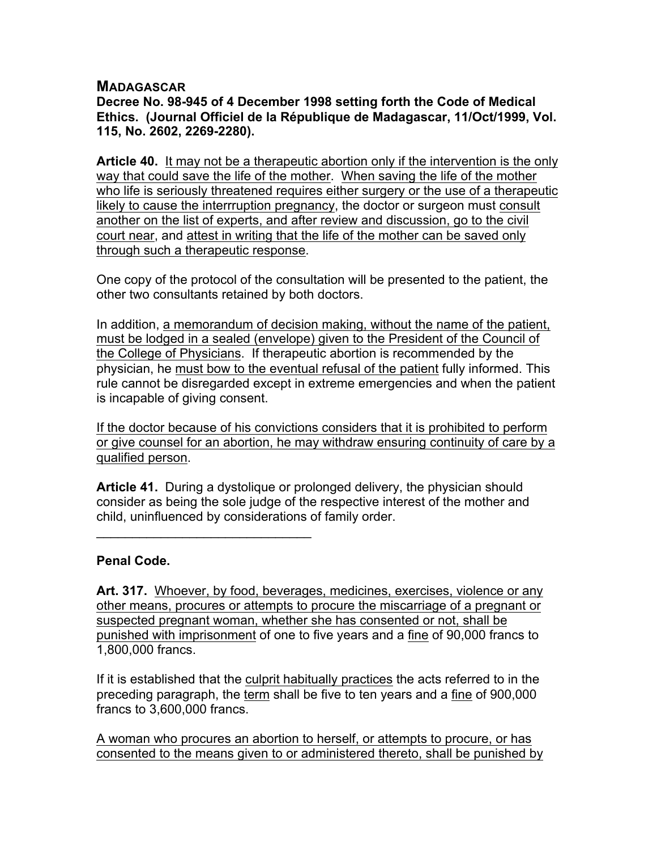## **MADAGASCAR**

**Decree No. 98-945 of 4 December 1998 setting forth the Code of Medical Ethics. (Journal Officiel de la République de Madagascar, 11/Oct/1999, Vol. 115, No. 2602, 2269-2280).**

**Article 40.** It may not be a therapeutic abortion only if the intervention is the only way that could save the life of the mother. When saving the life of the mother who life is seriously threatened requires either surgery or the use of a therapeutic likely to cause the interrruption pregnancy, the doctor or surgeon must consult another on the list of experts, and after review and discussion, go to the civil court near, and attest in writing that the life of the mother can be saved only through such a therapeutic response.

One copy of the protocol of the consultation will be presented to the patient, the other two consultants retained by both doctors.

In addition, a memorandum of decision making, without the name of the patient, must be lodged in a sealed (envelope) given to the President of the Council of the College of Physicians. If therapeutic abortion is recommended by the physician, he must bow to the eventual refusal of the patient fully informed. This rule cannot be disregarded except in extreme emergencies and when the patient is incapable of giving consent.

If the doctor because of his convictions considers that it is prohibited to perform or give counsel for an abortion, he may withdraw ensuring continuity of care by a qualified person.

**Article 41.** During a dystolique or prolonged delivery, the physician should consider as being the sole judge of the respective interest of the mother and child, uninfluenced by considerations of family order.

## **Penal Code.**

 $\mathcal{L}=\{1,2,3,4,5\}$ 

**Art. 317.** Whoever, by food, beverages, medicines, exercises, violence or any other means, procures or attempts to procure the miscarriage of a pregnant or suspected pregnant woman, whether she has consented or not, shall be punished with imprisonment of one to five years and a fine of 90,000 francs to 1,800,000 francs.

If it is established that the culprit habitually practices the acts referred to in the preceding paragraph, the term shall be five to ten years and a fine of 900,000 francs to 3,600,000 francs.

A woman who procures an abortion to herself, or attempts to procure, or has consented to the means given to or administered thereto, shall be punished by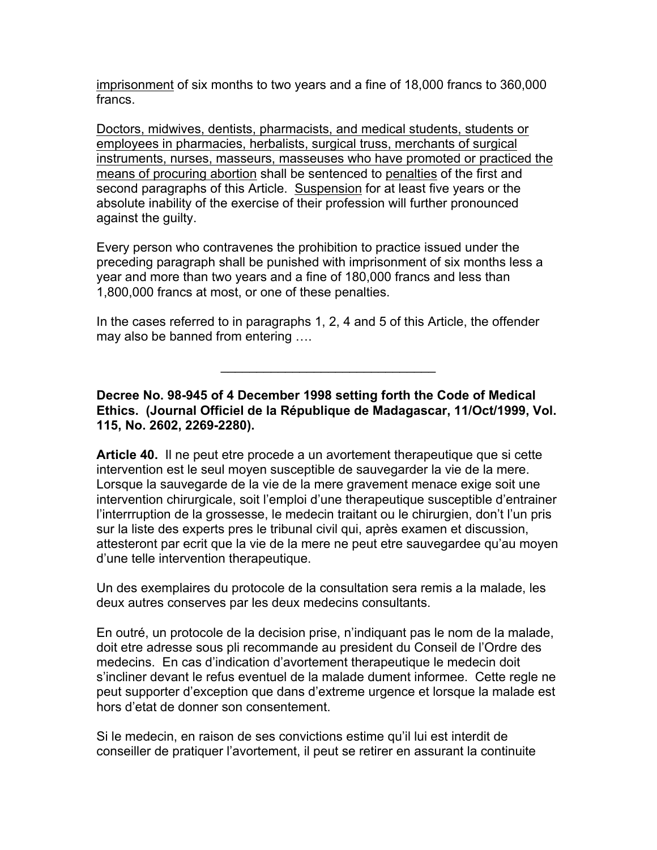imprisonment of six months to two years and a fine of 18,000 francs to 360,000 francs.

Doctors, midwives, dentists, pharmacists, and medical students, students or employees in pharmacies, herbalists, surgical truss, merchants of surgical instruments, nurses, masseurs, masseuses who have promoted or practiced the means of procuring abortion shall be sentenced to penalties of the first and second paragraphs of this Article. Suspension for at least five years or the absolute inability of the exercise of their profession will further pronounced against the guilty.

Every person who contravenes the prohibition to practice issued under the preceding paragraph shall be punished with imprisonment of six months less a year and more than two years and a fine of 180,000 francs and less than 1,800,000 francs at most, or one of these penalties.

In the cases referred to in paragraphs 1, 2, 4 and 5 of this Article, the offender may also be banned from entering ….

**Decree No. 98-945 of 4 December 1998 setting forth the Code of Medical Ethics. (Journal Officiel de la République de Madagascar, 11/Oct/1999, Vol. 115, No. 2602, 2269-2280).**

 $\mathcal{L}_\text{max}$  , where  $\mathcal{L}_\text{max}$  and  $\mathcal{L}_\text{max}$ 

**Article 40.** Il ne peut etre procede a un avortement therapeutique que si cette intervention est le seul moyen susceptible de sauvegarder la vie de la mere. Lorsque la sauvegarde de la vie de la mere gravement menace exige soit une intervention chirurgicale, soit l'emploi d'une therapeutique susceptible d'entrainer l'interrruption de la grossesse, le medecin traitant ou le chirurgien, don't l'un pris sur la liste des experts pres le tribunal civil qui, après examen et discussion, attesteront par ecrit que la vie de la mere ne peut etre sauvegardee qu'au moyen d'une telle intervention therapeutique.

Un des exemplaires du protocole de la consultation sera remis a la malade, les deux autres conserves par les deux medecins consultants.

En outré, un protocole de la decision prise, n'indiquant pas le nom de la malade, doit etre adresse sous pli recommande au president du Conseil de l'Ordre des medecins. En cas d'indication d'avortement therapeutique le medecin doit s'incliner devant le refus eventuel de la malade dument informee. Cette regle ne peut supporter d'exception que dans d'extreme urgence et lorsque la malade est hors d'etat de donner son consentement.

Si le medecin, en raison de ses convictions estime qu'il lui est interdit de conseiller de pratiquer l'avortement, il peut se retirer en assurant la continuite